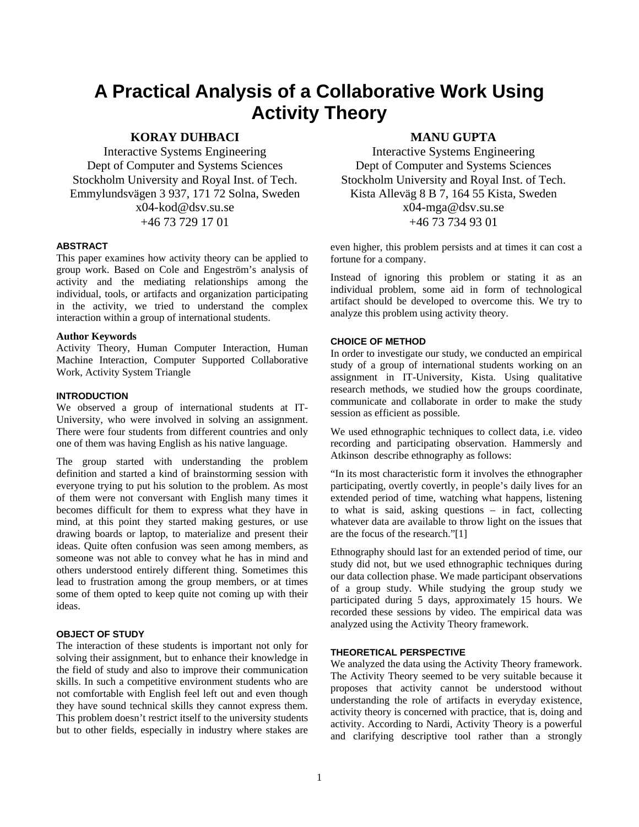# **A Practical Analysis of a Collaborative Work Using Activity Theory**

# **KORAY DUHBACI**

Interactive Systems Engineering Dept of Computer and Systems Sciences Stockholm University and Royal Inst. of Tech. Emmylundsvägen 3 937, 171 72 Solna, Sweden x04-kod@dsv.su.se +46 73 729 17 01

## **ABSTRACT**

This paper examines how activity theory can be applied to group work. Based on Cole and Engeström's analysis of activity and the mediating relationships among the individual, tools, or artifacts and organization participating in the activity, we tried to understand the complex interaction within a group of international students.

#### **Author Keywords**

Activity Theory, Human Computer Interaction, Human Machine Interaction, Computer Supported Collaborative Work, Activity System Triangle

## **INTRODUCTION**

We observed a group of international students at IT-University, who were involved in solving an assignment. There were four students from different countries and only one of them was having English as his native language.

The group started with understanding the problem definition and started a kind of brainstorming session with everyone trying to put his solution to the problem. As most of them were not conversant with English many times it becomes difficult for them to express what they have in mind, at this point they started making gestures, or use drawing boards or laptop, to materialize and present their ideas. Quite often confusion was seen among members, as someone was not able to convey what he has in mind and others understood entirely different thing. Sometimes this lead to frustration among the group members, or at times some of them opted to keep quite not coming up with their ideas.

## **OBJECT OF STUDY**

The interaction of these students is important not only for solving their assignment, but to enhance their knowledge in the field of study and also to improve their communication skills. In such a competitive environment students who are not comfortable with English feel left out and even though they have sound technical skills they cannot express them. This problem doesn't restrict itself to the university students but to other fields, especially in industry where stakes are

## **MANU GUPTA**

Interactive Systems Engineering Dept of Computer and Systems Sciences Stockholm University and Royal Inst. of Tech. Kista Alleväg 8 B 7, 164 55 Kista, Sweden x04-mga@dsv.su.se +46 73 734 93 01

even higher, this problem persists and at times it can cost a fortune for a company.

Instead of ignoring this problem or stating it as an individual problem, some aid in form of technological artifact should be developed to overcome this. We try to analyze this problem using activity theory.

#### **CHOICE OF METHOD**

In order to investigate our study, we conducted an empirical study of a group of international students working on an assignment in IT-University, Kista. Using qualitative research methods, we studied how the groups coordinate, communicate and collaborate in order to make the study session as efficient as possible.

We used ethnographic techniques to collect data, i.e. video recording and participating observation. Hammersly and Atkinson describe ethnography as follows:

"In its most characteristic form it involves the ethnographer participating, overtly covertly, in people's daily lives for an extended period of time, watching what happens, listening to what is said, asking questions – in fact, collecting whatever data are available to throw light on the issues that are the focus of the research."[1]

Ethnography should last for an extended period of time, our study did not, but we used ethnographic techniques during our data collection phase. We made participant observations of a group study. While studying the group study we participated during 5 days, approximately 15 hours. We recorded these sessions by video. The empirical data was analyzed using the Activity Theory framework.

## **THEORETICAL PERSPECTIVE**

We analyzed the data using the Activity Theory framework. The Activity Theory seemed to be very suitable because it proposes that activity cannot be understood without understanding the role of artifacts in everyday existence, activity theory is concerned with practice, that is, doing and activity. According to Nardi, Activity Theory is a powerful and clarifying descriptive tool rather than a strongly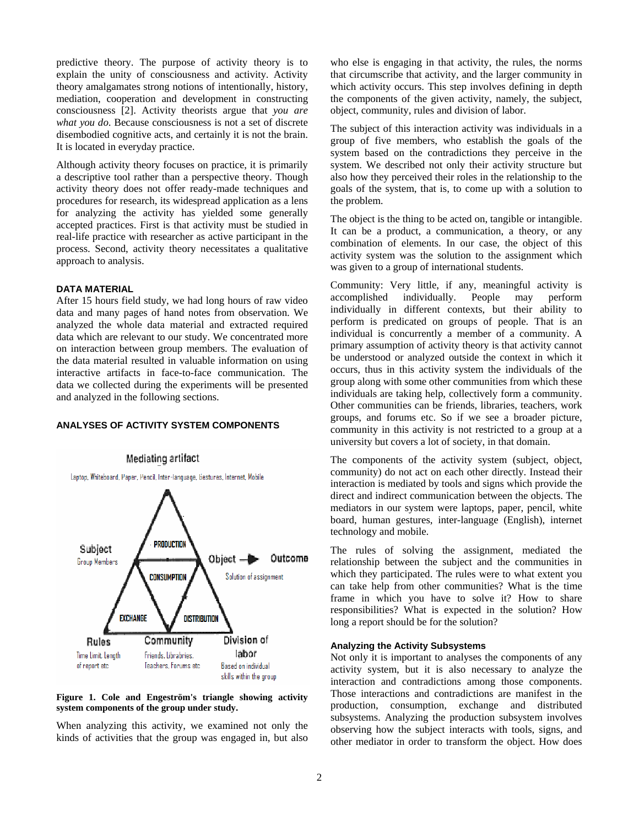predictive theory. The purpose of activity theory is to explain the unity of consciousness and activity. Activity theory amalgamates strong notions of intentionally, history, mediation, cooperation and development in constructing consciousness [2]. Activity theorists argue that *you are what you do*. Because consciousness is not a set of discrete disembodied cognitive acts, and certainly it is not the brain. It is located in everyday practice.

Although activity theory focuses on practice, it is primarily a descriptive tool rather than a perspective theory. Though activity theory does not offer ready-made techniques and procedures for research, its widespread application as a lens for analyzing the activity has yielded some generally accepted practices. First is that activity must be studied in real-life practice with researcher as active participant in the process. Second, activity theory necessitates a qualitative approach to analysis.

#### **DATA MATERIAL**

After 15 hours field study, we had long hours of raw video data and many pages of hand notes from observation. We analyzed the whole data material and extracted required data which are relevant to our study. We concentrated more on interaction between group members. The evaluation of the data material resulted in valuable information on using interactive artifacts in face-to-face communication. The data we collected during the experiments will be presented and analyzed in the following sections.

## **ANALYSES OF ACTIVITY SYSTEM COMPONENTS**



#### **Figure 1. Cole and Engeström's triangle showing activity system components of the group under study.**

When analyzing this activity, we examined not only the kinds of activities that the group was engaged in, but also who else is engaging in that activity, the rules, the norms that circumscribe that activity, and the larger community in which activity occurs. This step involves defining in depth the components of the given activity, namely, the subject, object, community, rules and division of labor.

The subject of this interaction activity was individuals in a group of five members, who establish the goals of the system based on the contradictions they perceive in the system. We described not only their activity structure but also how they perceived their roles in the relationship to the goals of the system, that is, to come up with a solution to the problem.

The object is the thing to be acted on, tangible or intangible. It can be a product, a communication, a theory, or any combination of elements. In our case, the object of this activity system was the solution to the assignment which was given to a group of international students.

Community: Very little, if any, meaningful activity is accomplished individually. People may perform individually in different contexts, but their ability to perform is predicated on groups of people. That is an individual is concurrently a member of a community. A primary assumption of activity theory is that activity cannot be understood or analyzed outside the context in which it occurs, thus in this activity system the individuals of the group along with some other communities from which these individuals are taking help, collectively form a community. Other communities can be friends, libraries, teachers, work groups, and forums etc. So if we see a broader picture, community in this activity is not restricted to a group at a university but covers a lot of society, in that domain.

The components of the activity system (subject, object, community) do not act on each other directly. Instead their interaction is mediated by tools and signs which provide the direct and indirect communication between the objects. The mediators in our system were laptops, paper, pencil, white board, human gestures, inter-language (English), internet technology and mobile.

The rules of solving the assignment, mediated the relationship between the subject and the communities in which they participated. The rules were to what extent you can take help from other communities? What is the time frame in which you have to solve it? How to share responsibilities? What is expected in the solution? How long a report should be for the solution?

#### **Analyzing the Activity Subsystems**

Not only it is important to analyses the components of any activity system, but it is also necessary to analyze the interaction and contradictions among those components. Those interactions and contradictions are manifest in the production, consumption, exchange and distributed subsystems. Analyzing the production subsystem involves observing how the subject interacts with tools, signs, and other mediator in order to transform the object. How does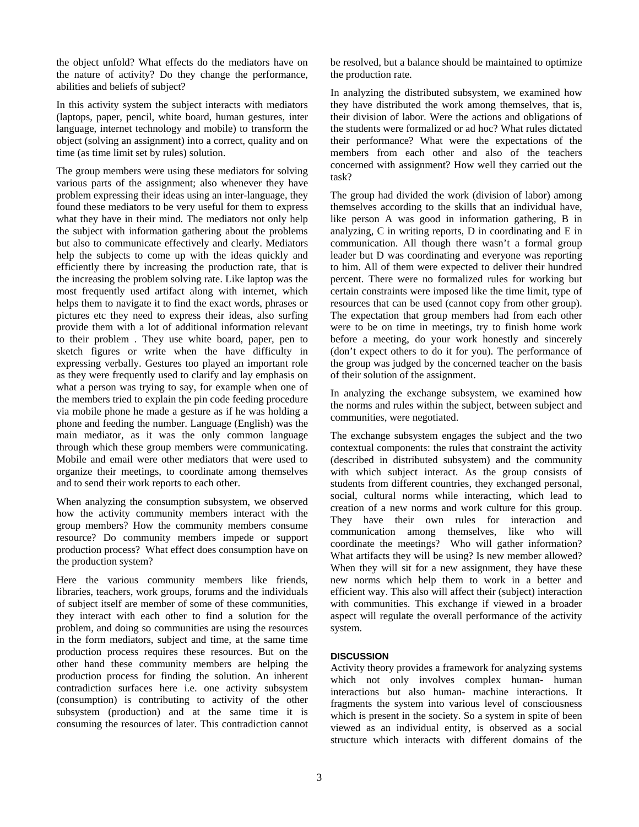the object unfold? What effects do the mediators have on the nature of activity? Do they change the performance, abilities and beliefs of subject?

In this activity system the subject interacts with mediators (laptops, paper, pencil, white board, human gestures, inter language, internet technology and mobile) to transform the object (solving an assignment) into a correct, quality and on time (as time limit set by rules) solution.

The group members were using these mediators for solving various parts of the assignment; also whenever they have problem expressing their ideas using an inter-language, they found these mediators to be very useful for them to express what they have in their mind. The mediators not only help the subject with information gathering about the problems but also to communicate effectively and clearly. Mediators help the subjects to come up with the ideas quickly and efficiently there by increasing the production rate, that is the increasing the problem solving rate. Like laptop was the most frequently used artifact along with internet, which helps them to navigate it to find the exact words, phrases or pictures etc they need to express their ideas, also surfing provide them with a lot of additional information relevant to their problem . They use white board, paper, pen to sketch figures or write when the have difficulty in expressing verbally. Gestures too played an important role as they were frequently used to clarify and lay emphasis on what a person was trying to say, for example when one of the members tried to explain the pin code feeding procedure via mobile phone he made a gesture as if he was holding a phone and feeding the number. Language (English) was the main mediator, as it was the only common language through which these group members were communicating. Mobile and email were other mediators that were used to organize their meetings, to coordinate among themselves and to send their work reports to each other.

When analyzing the consumption subsystem, we observed how the activity community members interact with the group members? How the community members consume resource? Do community members impede or support production process? What effect does consumption have on the production system?

Here the various community members like friends, libraries, teachers, work groups, forums and the individuals of subject itself are member of some of these communities, they interact with each other to find a solution for the problem, and doing so communities are using the resources in the form mediators, subject and time, at the same time production process requires these resources. But on the other hand these community members are helping the production process for finding the solution. An inherent contradiction surfaces here i.e. one activity subsystem (consumption) is contributing to activity of the other subsystem (production) and at the same time it is consuming the resources of later. This contradiction cannot

be resolved, but a balance should be maintained to optimize the production rate.

In analyzing the distributed subsystem, we examined how they have distributed the work among themselves, that is, their division of labor. Were the actions and obligations of the students were formalized or ad hoc? What rules dictated their performance? What were the expectations of the members from each other and also of the teachers concerned with assignment? How well they carried out the task?

The group had divided the work (division of labor) among themselves according to the skills that an individual have, like person A was good in information gathering, B in analyzing, C in writing reports, D in coordinating and E in communication. All though there wasn't a formal group leader but D was coordinating and everyone was reporting to him. All of them were expected to deliver their hundred percent. There were no formalized rules for working but certain constraints were imposed like the time limit, type of resources that can be used (cannot copy from other group). The expectation that group members had from each other were to be on time in meetings, try to finish home work before a meeting, do your work honestly and sincerely (don't expect others to do it for you). The performance of the group was judged by the concerned teacher on the basis of their solution of the assignment.

In analyzing the exchange subsystem, we examined how the norms and rules within the subject, between subject and communities, were negotiated.

The exchange subsystem engages the subject and the two contextual components: the rules that constraint the activity (described in distributed subsystem) and the community with which subject interact. As the group consists of students from different countries, they exchanged personal, social, cultural norms while interacting, which lead to creation of a new norms and work culture for this group. They have their own rules for interaction and communication among themselves, like who will coordinate the meetings? Who will gather information? What artifacts they will be using? Is new member allowed? When they will sit for a new assignment, they have these new norms which help them to work in a better and efficient way. This also will affect their (subject) interaction with communities. This exchange if viewed in a broader aspect will regulate the overall performance of the activity system.

## **DISCUSSION**

Activity theory provides a framework for analyzing systems which not only involves complex human- human interactions but also human- machine interactions. It fragments the system into various level of consciousness which is present in the society. So a system in spite of been viewed as an individual entity, is observed as a social structure which interacts with different domains of the